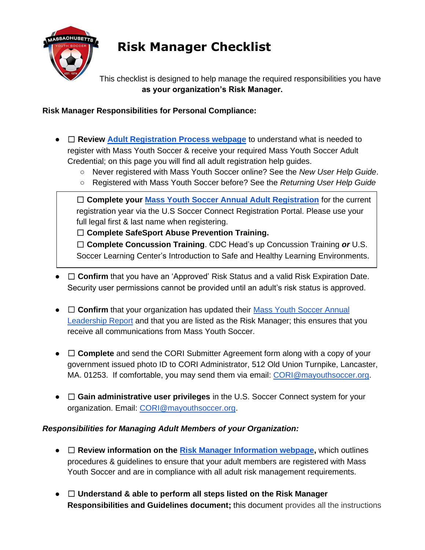

## **Risk Manager Checklist**

This checklist is designed to help manage the required responsibilities you have **as your organization's Risk Manager.**

**Risk Manager Responsibilities for Personal Compliance:**

- □ Review [Adult Registration Process webpage](https://www.mayouthsoccer.org/adult-registration-process/) to understand what is needed to register with Mass Youth Soccer & receive your required Mass Youth Soccer Adult Credential; on this page you will find all adult registration help guides.
	- Never registered with Mass Youth Soccer online? See the *New User Help Guide*.
	- Registered with Mass Youth Soccer before? See the *Returning User Help Guide*

□ **Complete your [Mass Youth Soccer Annual Adult Registration](https://secure.sportsaffinity.com/reg/index.asp?sessionguid=&domain=ma%2Dcori%2Eaffinitysoccer%2Ecom)** for the current registration year via the U.S Soccer Connect Registration Portal. Please use your full legal first & last name when registering.

☐ **Complete SafeSport Abuse Prevention Training.** 

☐ **Complete Concussion Training**. CDC Head's up Concussion Training *or* U.S. Soccer Learning Center's Introduction to Safe and Healthy Learning Environments.

- □ Confirm that you have an 'Approved' Risk Status and a valid Risk Expiration Date. Security user permissions cannot be provided until an adult's risk status is approved.
- □ Confirm that your organization has updated their Mass Youth Soccer Annual [Leadership Report](https://fs23.formsite.com/massyouth/form22/index.html) and that you are listed as the Risk Manager; this ensures that you receive all communications from Mass Youth Soccer.
- □ Complete and send the CORI Submitter Agreement form along with a copy of your government issued photo ID to CORI Administrator, 512 Old Union Turnpike, Lancaster, MA. 01253. If comfortable, you may send them via email: [CORI@mayouthsoccer.org.](mailto:CORI@mayouthsoccer.org)
- □ Gain administrative user privileges in the U.S. Soccer Connect system for your organization. Email: [CORI@mayouthsoccer.org.](mailto:CORI@mayouthsoccer.org)

## *Responsibilities for Managing Adult Members of your Organization:*

- □ **Review information on the <b>Risk Manager Information webpage**, which outlines procedures & guidelines to ensure that your adult members are registered with Mass Youth Soccer and are in compliance with all adult risk management requirements.
- ☐ **Understand & able to perform all steps listed on the Risk Manager Responsibilities and Guidelines document;** this document provides all the instructions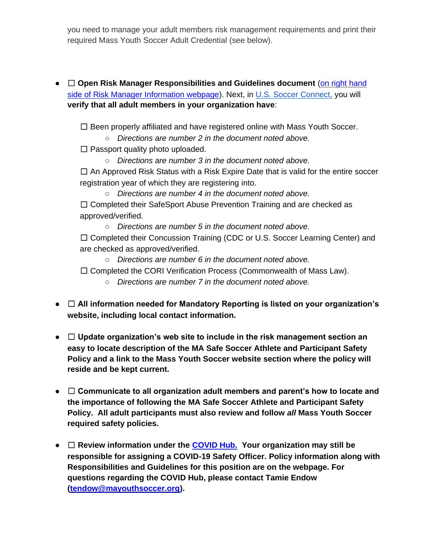you need to manage your adult members risk management requirements and print their required Mass Youth Soccer Adult Credential (see below).

● □ Open Risk Manager Responsibilities and Guidelines document (on right hand [side of Risk Manager Information webpage\)](https://www.mayouthsoccer.org/risk-manager-information/). Next, in [U.S. Soccer Connect,](https://ma-adultinfo.affinitysoccer.com/Foundation/Login.aspx?sessionguid=) you will **verify that all adult members in your organization have**:

☐ Been properly affiliated and have registered online with Mass Youth Soccer.

○ *Directions are number 2 in the document noted above.*

 $\Box$  Passport quality photo uploaded.

○ *Directions are number 3 in the document noted above.*

 $\Box$  An Approved Risk Status with a Risk Expire Date that is valid for the entire soccer registration year of which they are registering into.

○ *Directions are number 4 in the document noted above.* ☐ Completed their SafeSport Abuse Prevention Training and are checked as approved/verified.

○ *Directions are number 5 in the document noted above.*

□ Completed their Concussion Training (CDC or U.S. Soccer Learning Center) and are checked as approved/verified.

○ *Directions are number 6 in the document noted above.*

☐ Completed the CORI Verification Process (Commonwealth of Mass Law).

- *Directions are number 7 in the document noted above.*
- ☐ **All information needed for Mandatory Reporting is listed on your organization's website, including local contact information.**
- ☐ **Update organization's web site to include in the risk management section an easy to locate description of the MA Safe Soccer Athlete and Participant Safety Policy and a link to the Mass Youth Soccer website section where the policy will reside and be kept current.**
- ☐ **Communicate to all organization adult members and parent's how to locate and the importance of following the MA Safe Soccer Athlete and Participant Safety Policy. All adult participants must also review and follow** *all* **Mass Youth Soccer required safety policies.**
- ☐ **Review information under the [COVID Hub.](https://www.mayouthsoccer.org/covid-hub/) Your organization may still be responsible for assigning a COVID-19 Safety Officer. Policy information along with Responsibilities and Guidelines for this position are on the webpage. For questions regarding the COVID Hub, please contact Tamie Endow [\(tendow@mayouthsoccer.org\)](mailto:tendow@mayouthsoccer.org).**